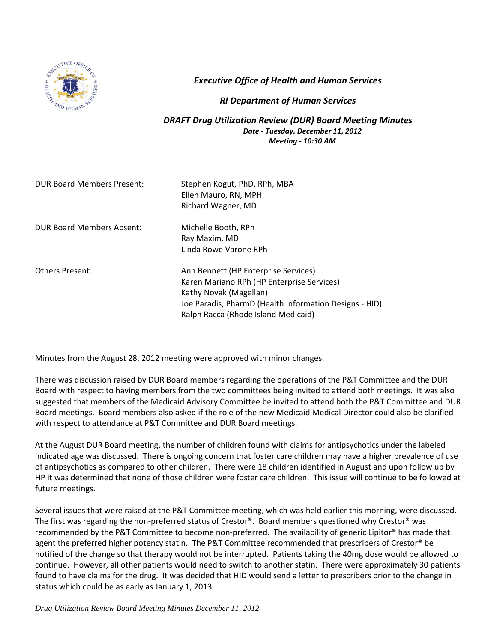

*Executive Office of Health and Human Services*

## *RI Department of Human Services*

*DRAFT Drug Utilization Review (DUR) Board Meeting Minutes Date - Tuesday, December 11, 2012 Meeting - 10:30 AM*

| <b>DUR Board Members Present:</b> | Stephen Kogut, PhD, RPh, MBA<br>Ellen Mauro, RN, MPH<br>Richard Wagner, MD |
|-----------------------------------|----------------------------------------------------------------------------|
| <b>DUR Board Members Absent:</b>  | Michelle Booth, RPh                                                        |
|                                   | Ray Maxim, MD                                                              |
|                                   | Linda Rowe Varone RPh                                                      |
| <b>Others Present:</b>            | Ann Bennett (HP Enterprise Services)                                       |
|                                   | Karen Mariano RPh (HP Enterprise Services)                                 |
|                                   | Kathy Novak (Magellan)                                                     |
|                                   | Joe Paradis, PharmD (Health Information Designs - HID)                     |
|                                   | Ralph Racca (Rhode Island Medicaid)                                        |

Minutes from the August 28, 2012 meeting were approved with minor changes.

There was discussion raised by DUR Board members regarding the operations of the P&T Committee and the DUR Board with respect to having members from the two committees being invited to attend both meetings. It was also suggested that members of the Medicaid Advisory Committee be invited to attend both the P&T Committee and DUR Board meetings. Board members also asked if the role of the new Medicaid Medical Director could also be clarified with respect to attendance at P&T Committee and DUR Board meetings.

At the August DUR Board meeting, the number of children found with claims for antipsychotics under the labeled indicated age was discussed. There is ongoing concern that foster care children may have a higher prevalence of use of antipsychotics as compared to other children. There were 18 children identified in August and upon follow up by HP it was determined that none of those children were foster care children. This issue will continue to be followed at future meetings.

Several issues that were raised at the P&T Committee meeting, which was held earlier this morning, were discussed. The first was regarding the non-preferred status of Crestor®. Board members questioned why Crestor® was recommended by the P&T Committee to become non-preferred. The availability of generic Lipitor® has made that agent the preferred higher potency statin. The P&T Committee recommended that prescribers of Crestor® be notified of the change so that therapy would not be interrupted. Patients taking the 40mg dose would be allowed to continue. However, all other patients would need to switch to another statin. There were approximately 30 patients found to have claims for the drug. It was decided that HID would send a letter to prescribers prior to the change in status which could be as early as January 1, 2013.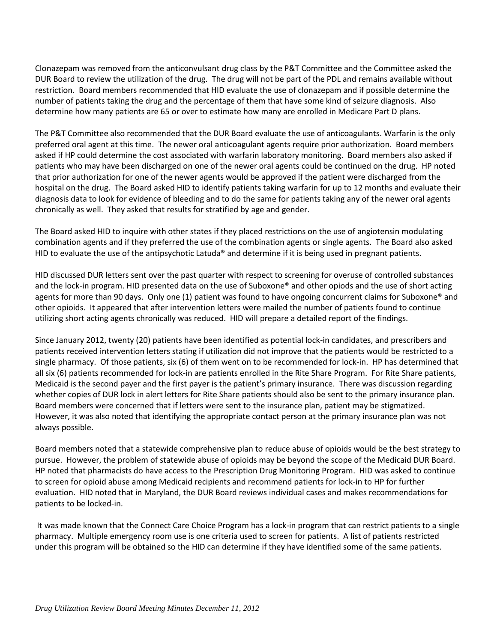Clonazepam was removed from the anticonvulsant drug class by the P&T Committee and the Committee asked the DUR Board to review the utilization of the drug. The drug will not be part of the PDL and remains available without restriction. Board members recommended that HID evaluate the use of clonazepam and if possible determine the number of patients taking the drug and the percentage of them that have some kind of seizure diagnosis. Also determine how many patients are 65 or over to estimate how many are enrolled in Medicare Part D plans.

The P&T Committee also recommended that the DUR Board evaluate the use of anticoagulants. Warfarin is the only preferred oral agent at this time. The newer oral anticoagulant agents require prior authorization. Board members asked if HP could determine the cost associated with warfarin laboratory monitoring. Board members also asked if patients who may have been discharged on one of the newer oral agents could be continued on the drug. HP noted that prior authorization for one of the newer agents would be approved if the patient were discharged from the hospital on the drug. The Board asked HID to identify patients taking warfarin for up to 12 months and evaluate their diagnosis data to look for evidence of bleeding and to do the same for patients taking any of the newer oral agents chronically as well. They asked that results for stratified by age and gender.

The Board asked HID to inquire with other states if they placed restrictions on the use of angiotensin modulating combination agents and if they preferred the use of the combination agents or single agents. The Board also asked HID to evaluate the use of the antipsychotic Latuda® and determine if it is being used in pregnant patients.

HID discussed DUR letters sent over the past quarter with respect to screening for overuse of controlled substances and the lock-in program. HID presented data on the use of Suboxone® and other opiods and the use of short acting agents for more than 90 days. Only one (1) patient was found to have ongoing concurrent claims for Suboxone® and other opioids. It appeared that after intervention letters were mailed the number of patients found to continue utilizing short acting agents chronically was reduced. HID will prepare a detailed report of the findings.

Since January 2012, twenty (20) patients have been identified as potential lock-in candidates, and prescribers and patients received intervention letters stating if utilization did not improve that the patients would be restricted to a single pharmacy. Of those patients, six (6) of them went on to be recommended for lock-in. HP has determined that all six (6) patients recommended for lock-in are patients enrolled in the Rite Share Program. For Rite Share patients, Medicaid is the second payer and the first payer is the patient's primary insurance. There was discussion regarding whether copies of DUR lock in alert letters for Rite Share patients should also be sent to the primary insurance plan. Board members were concerned that if letters were sent to the insurance plan, patient may be stigmatized. However, it was also noted that identifying the appropriate contact person at the primary insurance plan was not always possible.

Board members noted that a statewide comprehensive plan to reduce abuse of opioids would be the best strategy to pursue. However, the problem of statewide abuse of opioids may be beyond the scope of the Medicaid DUR Board. HP noted that pharmacists do have access to the Prescription Drug Monitoring Program. HID was asked to continue to screen for opioid abuse among Medicaid recipients and recommend patients for lock-in to HP for further evaluation. HID noted that in Maryland, the DUR Board reviews individual cases and makes recommendations for patients to be locked-in.

It was made known that the Connect Care Choice Program has a lock-in program that can restrict patients to a single pharmacy. Multiple emergency room use is one criteria used to screen for patients. A list of patients restricted under this program will be obtained so the HID can determine if they have identified some of the same patients.